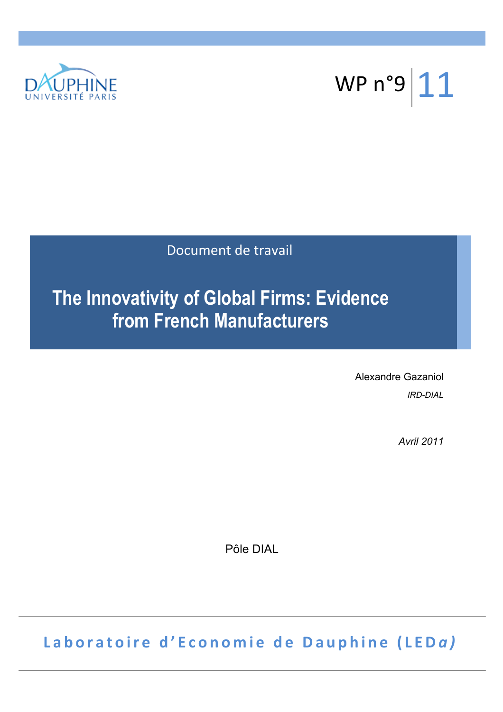



Document de travail

# **The Innovativity of Global Firms: Evidence from French Manufacturers**

Alexandre Gazaniol *IRD-DIAL*

*Avril 2011*

Pôle DIAL

Laboratoire d'Economie de Dauphine (LEDa)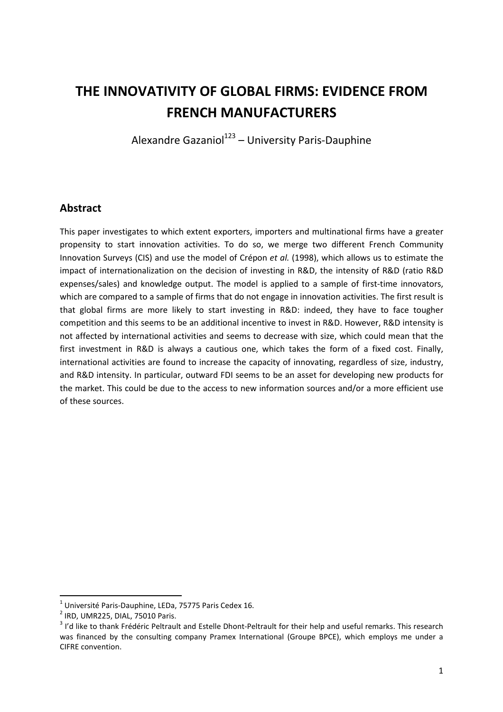# **THE INNOVATIVITY OF GLOBAL FIRMS: EVIDENCE FROM FRENCH MANUFACTURERS**

Alexandre Gazaniol<sup>123</sup> – University Paris-Dauphine

# **Abstract**

This paper investigates to which extent exporters, importers and multinational firms have a greater propensity to start innovation activities. To do so, we merge two different French Community Innovation Surveys (CIS) and use the model of Crépon *et al.* (1998), which allows us to estimate the impact of internationalization on the decision of investing in R&D, the intensity of R&D (ratio R&D expenses/sales) and knowledge output. The model is applied to a sample of first-time innovators, which are compared to a sample of firms that do not engage in innovation activities. The first result is that global firms are more likely to start investing in R&D: indeed, they have to face tougher competition and this seems to be an additional incentive to invest in R&D. However, R&D intensity is not affected by international activities and seems to decrease with size, which could mean that the first investment in R&D is always a cautious one, which takes the form of a fixed cost. Finally, international activities are found to increase the capacity of innovating, regardless of size, industry, and R&D intensity. In particular, outward FDI seems to be an asset for developing new products for the market. This could be due to the access to new information sources and/or a more efficient use of these sources.

l

 $^1$  Université Paris-Dauphine, LEDa, 75775 Paris Cedex 16.

 $<sup>2</sup>$  IRD, UMR225, DIAL, 75010 Paris.</sup>

 $3$  I'd like to thank Frédéric Peltrault and Estelle Dhont-Peltrault for their help and useful remarks. This research was financed by the consulting company Pramex International (Groupe BPCE), which employs me under a CIFRE convention.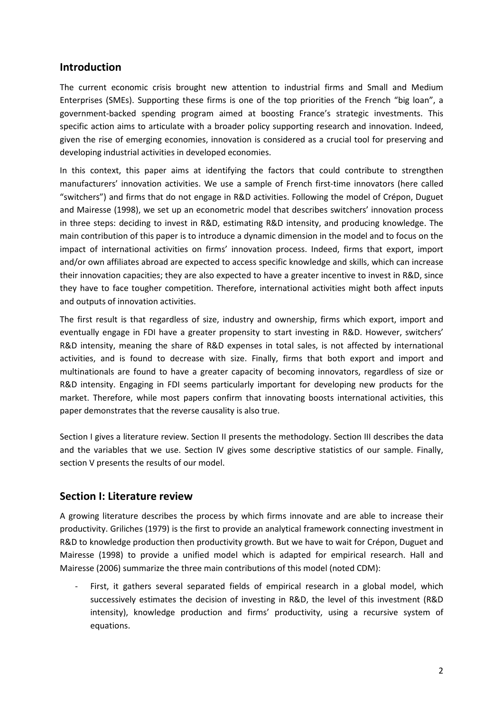# **Introduction**

The current economic crisis brought new attention to industrial firms and Small and Medium Enterprises (SMEs). Supporting these firms is one of the top priorities of the French "big loan", a government-backed spending program aimed at boosting France's strategic investments. This specific action aims to articulate with a broader policy supporting research and innovation. Indeed, given the rise of emerging economies, innovation is considered as a crucial tool for preserving and developing industrial activities in developed economies.

In this context, this paper aims at identifying the factors that could contribute to strengthen manufacturers' innovation activities. We use a sample of French first-time innovators (here called "switchers") and firms that do not engage in R&D activities. Following the model of Crépon, Duguet and Mairesse (1998), we set up an econometric model that describes switchers' innovation process in three steps: deciding to invest in R&D, estimating R&D intensity, and producing knowledge. The main contribution of this paper is to introduce a dynamic dimension in the model and to focus on the impact of international activities on firms' innovation process. Indeed, firms that export, import and/or own affiliates abroad are expected to access specific knowledge and skills, which can increase their innovation capacities; they are also expected to have a greater incentive to invest in R&D, since they have to face tougher competition. Therefore, international activities might both affect inputs and outputs of innovation activities.

The first result is that regardless of size, industry and ownership, firms which export, import and eventually engage in FDI have a greater propensity to start investing in R&D. However, switchers' R&D intensity, meaning the share of R&D expenses in total sales, is not affected by international activities, and is found to decrease with size. Finally, firms that both export and import and multinationals are found to have a greater capacity of becoming innovators, regardless of size or R&D intensity. Engaging in FDI seems particularly important for developing new products for the market. Therefore, while most papers confirm that innovating boosts international activities, this paper demonstrates that the reverse causality is also true.

Section I gives a literature review. Section II presents the methodology. Section III describes the data and the variables that we use. Section IV gives some descriptive statistics of our sample. Finally, section V presents the results of our model.

# **Section I: Literature review**

A growing literature describes the process by which firms innovate and are able to increase their productivity. Griliches (1979) is the first to provide an analytical framework connecting investment in R&D to knowledge production then productivity growth. But we have to wait for Crépon, Duguet and Mairesse (1998) to provide a unified model which is adapted for empirical research. Hall and Mairesse (2006) summarize the three main contributions of this model (noted CDM):

First, it gathers several separated fields of empirical research in a global model, which successively estimates the decision of investing in R&D, the level of this investment (R&D intensity), knowledge production and firms' productivity, using a recursive system of equations.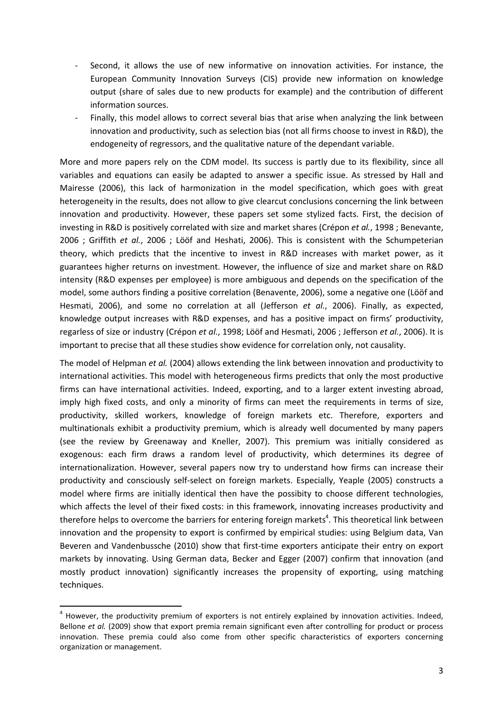- Second, it allows the use of new informative on innovation activities. For instance, the European Community Innovation Surveys (CIS) provide new information on knowledge output (share of sales due to new products for example) and the contribution of different information sources.
- Finally, this model allows to correct several bias that arise when analyzing the link between innovation and productivity, such as selection bias (not all firms choose to invest in R&D), the endogeneity of regressors, and the qualitative nature of the dependant variable.

More and more papers rely on the CDM model. Its success is partly due to its flexibility, since all variables and equations can easily be adapted to answer a specific issue. As stressed by Hall and Mairesse (2006), this lack of harmonization in the model specification, which goes with great heterogeneity in the results, does not allow to give clearcut conclusions concerning the link between innovation and productivity. However, these papers set some stylized facts. First, the decision of investing in R&D is positively correlated with size and market shares (Crépon *et al.*, 1998 ; Benevante, 2006 ; Griffith *et al.*, 2006 ; Lööf and Heshati, 2006). This is consistent with the Schumpeterian theory, which predicts that the incentive to invest in R&D increases with market power, as it guarantees higher returns on investment. However, the influence of size and market share on R&D intensity (R&D expenses per employee) is more ambiguous and depends on the specification of the model, some authors finding a positive correlation (Benavente, 2006), some a negative one (Lööf and Hesmati, 2006), and some no correlation at all (Jefferson *et al.*, 2006). Finally, as expected, knowledge output increases with R&D expenses, and has a positive impact on firms' productivity, regarless of size or industry (Crépon *et al.*, 1998; Lööf and Hesmati, 2006 ; Jefferson *et al.*, 2006). It is important to precise that all these studies show evidence for correlation only, not causality.

The model of Helpman *et al.* (2004) allows extending the link between innovation and productivity to international activities. This model with heterogeneous firms predicts that only the most productive firms can have international activities. Indeed, exporting, and to a larger extent investing abroad, imply high fixed costs, and only a minority of firms can meet the requirements in terms of size, productivity, skilled workers, knowledge of foreign markets etc. Therefore, exporters and multinationals exhibit a productivity premium, which is already well documented by many papers (see the review by Greenaway and Kneller, 2007). This premium was initially considered as exogenous: each firm draws a random level of productivity, which determines its degree of internationalization. However, several papers now try to understand how firms can increase their productivity and consciously self-select on foreign markets. Especially, Yeaple (2005) constructs a model where firms are initially identical then have the possibity to choose different technologies, which affects the level of their fixed costs: in this framework, innovating increases productivity and therefore helps to overcome the barriers for entering foreign markets<sup>4</sup>. This theoretical link between innovation and the propensity to export is confirmed by empirical studies: using Belgium data, Van Beveren and Vandenbussche (2010) show that first-time exporters anticipate their entry on export markets by innovating. Using German data, Becker and Egger (2007) confirm that innovation (and mostly product innovation) significantly increases the propensity of exporting, using matching techniques.

 $\overline{a}$ 

<sup>&</sup>lt;sup>4</sup> However, the productivity premium of exporters is not entirely explained by innovation activities. Indeed, Bellone *et al.* (2009) show that export premia remain significant even after controlling for product or process innovation. These premia could also come from other specific characteristics of exporters concerning organization or management.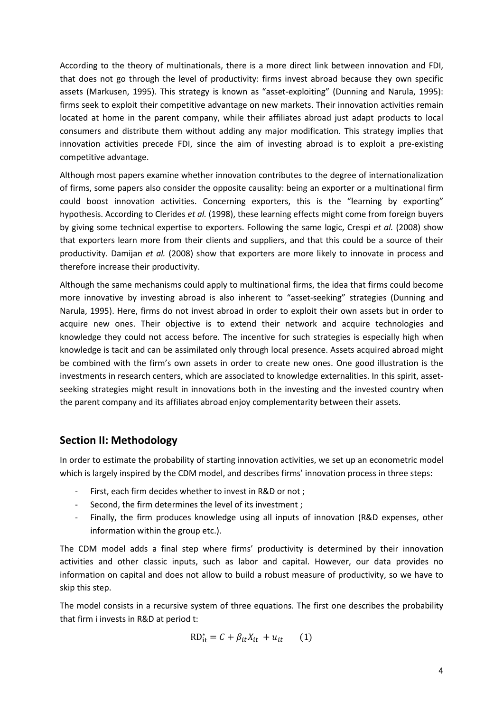According to the theory of multinationals, there is a more direct link between innovation and FDI, that does not go through the level of productivity: firms invest abroad because they own specific assets (Markusen, 1995). This strategy is known as "asset-exploiting" (Dunning and Narula, 1995): firms seek to exploit their competitive advantage on new markets. Their innovation activities remain located at home in the parent company, while their affiliates abroad just adapt products to local consumers and distribute them without adding any major modification. This strategy implies that innovation activities precede FDI, since the aim of investing abroad is to exploit a pre-existing competitive advantage.

Although most papers examine whether innovation contributes to the degree of internationalization of firms, some papers also consider the opposite causality: being an exporter or a multinational firm could boost innovation activities. Concerning exporters, this is the "learning by exporting" hypothesis. According to Clerides *et al.* (1998), these learning effects might come from foreign buyers by giving some technical expertise to exporters. Following the same logic, Crespi *et al.* (2008) show that exporters learn more from their clients and suppliers, and that this could be a source of their productivity. Damijan *et al.* (2008) show that exporters are more likely to innovate in process and therefore increase their productivity.

Although the same mechanisms could apply to multinational firms, the idea that firms could become more innovative by investing abroad is also inherent to "asset-seeking" strategies (Dunning and Narula, 1995). Here, firms do not invest abroad in order to exploit their own assets but in order to acquire new ones. Their objective is to extend their network and acquire technologies and knowledge they could not access before. The incentive for such strategies is especially high when knowledge is tacit and can be assimilated only through local presence. Assets acquired abroad might be combined with the firm's own assets in order to create new ones. One good illustration is the investments in research centers, which are associated to knowledge externalities. In this spirit, assetseeking strategies might result in innovations both in the investing and the invested country when the parent company and its affiliates abroad enjoy complementarity between their assets.

# **Section II: Methodology**

In order to estimate the probability of starting innovation activities, we set up an econometric model which is largely inspired by the CDM model, and describes firms' innovation process in three steps:

- First, each firm decides whether to invest in R&D or not;
- Second, the firm determines the level of its investment ;
- Finally, the firm produces knowledge using all inputs of innovation (R&D expenses, other information within the group etc.).

The CDM model adds a final step where firms' productivity is determined by their innovation activities and other classic inputs, such as labor and capital. However, our data provides no information on capital and does not allow to build a robust measure of productivity, so we have to skip this step.

The model consists in a recursive system of three equations. The first one describes the probability that firm i invests in R&D at period t:

$$
RD_{it}^* = C + \beta_{it} X_{it} + u_{it} \qquad (1)
$$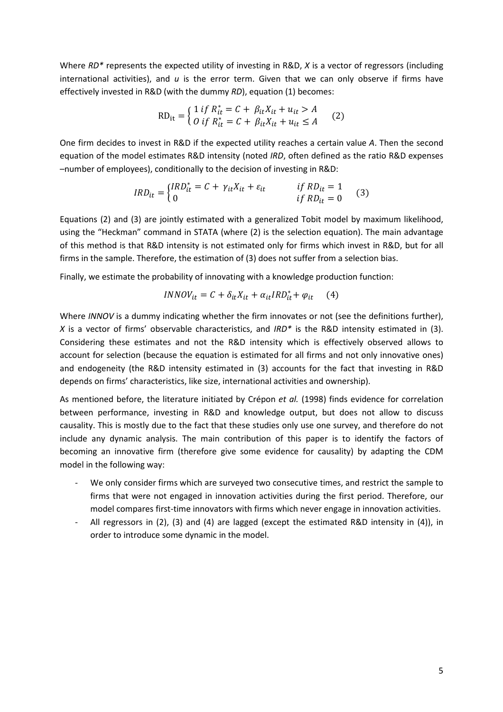Where *RD\** represents the expected utility of investing in R&D, *X* is a vector of regressors (including international activities), and *u* is the error term. Given that we can only observe if firms have effectively invested in R&D (with the dummy *RD*), equation (1) becomes:

$$
RD_{it} = \begin{cases} 1 \text{ if } R_{it}^{*} = C + \beta_{it} X_{it} + u_{it} > A \\ 0 \text{ if } R_{it}^{*} = C + \beta_{it} X_{it} + u_{it} \le A \end{cases} (2)
$$

One firm decides to invest in R&D if the expected utility reaches a certain value *A*. Then the second equation of the model estimates R&D intensity (noted *IRD*, often defined as the ratio R&D expenses –number of employees), conditionally to the decision of investing in R&D:

$$
IRD_{it} = \begin{cases} IRD_{it}^{*} = C + \gamma_{it}X_{it} + \varepsilon_{it} & \text{if } RD_{it} = 1\\ 0 & \text{if } RD_{it} = 0 \end{cases}
$$
 (3)

Equations (2) and (3) are jointly estimated with a generalized Tobit model by maximum likelihood, using the "Heckman" command in STATA (where (2) is the selection equation). The main advantage of this method is that R&D intensity is not estimated only for firms which invest in R&D, but for all firms in the sample. Therefore, the estimation of (3) does not suffer from a selection bias.

Finally, we estimate the probability of innovating with a knowledge production function:

$$
INNOV_{it} = C + \delta_{it} X_{it} + \alpha_{it} IRD_{it}^* + \varphi_{it} \qquad (4)
$$

Where *INNOV* is a dummy indicating whether the firm innovates or not (see the definitions further), *X* is a vector of firms' observable characteristics, and *IRD\** is the R&D intensity estimated in (3). Considering these estimates and not the R&D intensity which is effectively observed allows to account for selection (because the equation is estimated for all firms and not only innovative ones) and endogeneity (the R&D intensity estimated in (3) accounts for the fact that investing in R&D depends on firms' characteristics, like size, international activities and ownership).

As mentioned before, the literature initiated by Crépon *et al.* (1998) finds evidence for correlation between performance, investing in R&D and knowledge output, but does not allow to discuss causality. This is mostly due to the fact that these studies only use one survey, and therefore do not include any dynamic analysis. The main contribution of this paper is to identify the factors of becoming an innovative firm (therefore give some evidence for causality) by adapting the CDM model in the following way:

- We only consider firms which are surveyed two consecutive times, and restrict the sample to firms that were not engaged in innovation activities during the first period. Therefore, our model compares first-time innovators with firms which never engage in innovation activities.
- All regressors in (2), (3) and (4) are lagged (except the estimated R&D intensity in (4)), in order to introduce some dynamic in the model.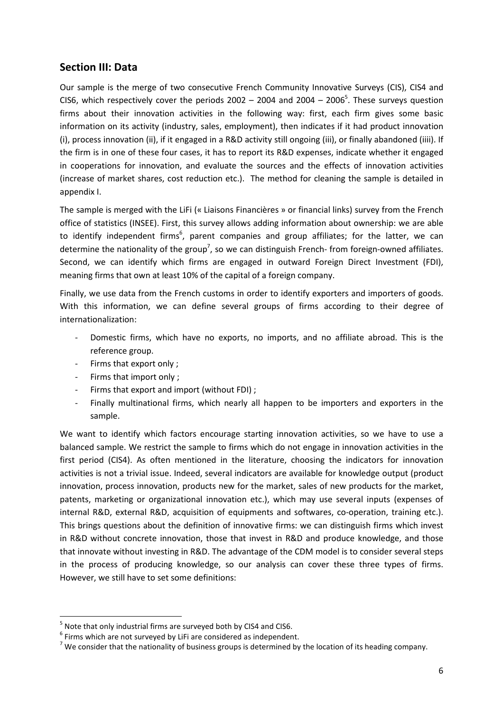# **Section III: Data**

Our sample is the merge of two consecutive French Community Innovative Surveys (CIS), CIS4 and CIS6, which respectively cover the periods  $2002 - 2004$  and  $2004 - 2006<sup>5</sup>$ . These surveys question firms about their innovation activities in the following way: first, each firm gives some basic information on its activity (industry, sales, employment), then indicates if it had product innovation (i), process innovation (ii), if it engaged in a R&D activity still ongoing (iii), or finally abandoned (iiii). If the firm is in one of these four cases, it has to report its R&D expenses, indicate whether it engaged in cooperations for innovation, and evaluate the sources and the effects of innovation activities (increase of market shares, cost reduction etc.). The method for cleaning the sample is detailed in appendix I.

The sample is merged with the LiFi (« Liaisons Financières » or financial links) survey from the French office of statistics (INSEE). First, this survey allows adding information about ownership: we are able to identify independent firms<sup>6</sup>, parent companies and group affiliates; for the latter, we can determine the nationality of the group<sup>7</sup>, so we can distinguish French- from foreign-owned affiliates. Second, we can identify which firms are engaged in outward Foreign Direct Investment (FDI), meaning firms that own at least 10% of the capital of a foreign company.

Finally, we use data from the French customs in order to identify exporters and importers of goods. With this information, we can define several groups of firms according to their degree of internationalization:

- Domestic firms, which have no exports, no imports, and no affiliate abroad. This is the reference group.
- Firms that export only ;
- Firms that import only ;

l

- Firms that export and import (without FDI);
- Finally multinational firms, which nearly all happen to be importers and exporters in the sample.

We want to identify which factors encourage starting innovation activities, so we have to use a balanced sample. We restrict the sample to firms which do not engage in innovation activities in the first period (CIS4). As often mentioned in the literature, choosing the indicators for innovation activities is not a trivial issue. Indeed, several indicators are available for knowledge output (product innovation, process innovation, products new for the market, sales of new products for the market, patents, marketing or organizational innovation etc.), which may use several inputs (expenses of internal R&D, external R&D, acquisition of equipments and softwares, co-operation, training etc.). This brings questions about the definition of innovative firms: we can distinguish firms which invest in R&D without concrete innovation, those that invest in R&D and produce knowledge, and those that innovate without investing in R&D. The advantage of the CDM model is to consider several steps in the process of producing knowledge, so our analysis can cover these three types of firms. However, we still have to set some definitions:

 $<sup>5</sup>$  Note that only industrial firms are surveyed both by CIS4 and CIS6.</sup>

 $6$  Firms which are not surveyed by LiFi are considered as independent.

<sup>&</sup>lt;sup>7</sup> We consider that the nationality of business groups is determined by the location of its heading company.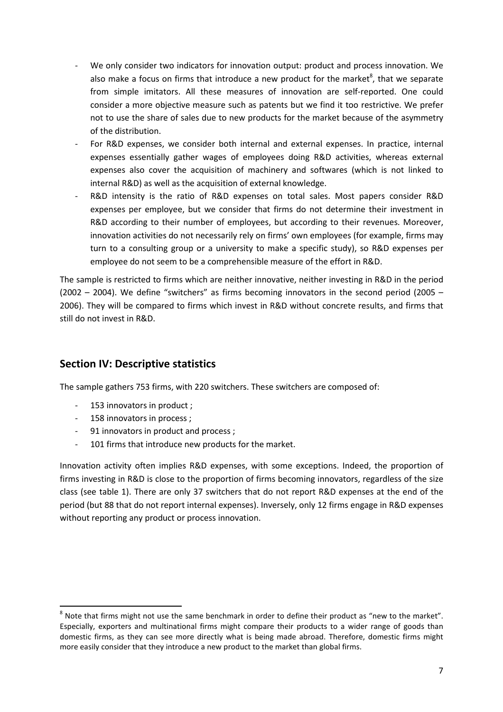- We only consider two indicators for innovation output: product and process innovation. We also make a focus on firms that introduce a new product for the market $^8$ , that we separate from simple imitators. All these measures of innovation are self-reported. One could consider a more objective measure such as patents but we find it too restrictive. We prefer not to use the share of sales due to new products for the market because of the asymmetry of the distribution.
- For R&D expenses, we consider both internal and external expenses. In practice, internal expenses essentially gather wages of employees doing R&D activities, whereas external expenses also cover the acquisition of machinery and softwares (which is not linked to internal R&D) as well as the acquisition of external knowledge.
- R&D intensity is the ratio of R&D expenses on total sales. Most papers consider R&D expenses per employee, but we consider that firms do not determine their investment in R&D according to their number of employees, but according to their revenues. Moreover, innovation activities do not necessarily rely on firms' own employees (for example, firms may turn to a consulting group or a university to make a specific study), so R&D expenses per employee do not seem to be a comprehensible measure of the effort in R&D.

The sample is restricted to firms which are neither innovative, neither investing in R&D in the period  $(2002 - 2004)$ . We define "switchers" as firms becoming innovators in the second period  $(2005 - 100)$ 2006). They will be compared to firms which invest in R&D without concrete results, and firms that still do not invest in R&D.

# **Section IV: Descriptive statistics**

The sample gathers 753 firms, with 220 switchers. These switchers are composed of:

- 153 innovators in product ;
- 158 innovators in process ;

 $\overline{a}$ 

- 91 innovators in product and process ;
- 101 firms that introduce new products for the market.

Innovation activity often implies R&D expenses, with some exceptions. Indeed, the proportion of firms investing in R&D is close to the proportion of firms becoming innovators, regardless of the size class (see table 1). There are only 37 switchers that do not report R&D expenses at the end of the period (but 88 that do not report internal expenses). Inversely, only 12 firms engage in R&D expenses without reporting any product or process innovation.

 $^8$  Note that firms might not use the same benchmark in order to define their product as "new to the market". Especially, exporters and multinational firms might compare their products to a wider range of goods than domestic firms, as they can see more directly what is being made abroad. Therefore, domestic firms might more easily consider that they introduce a new product to the market than global firms.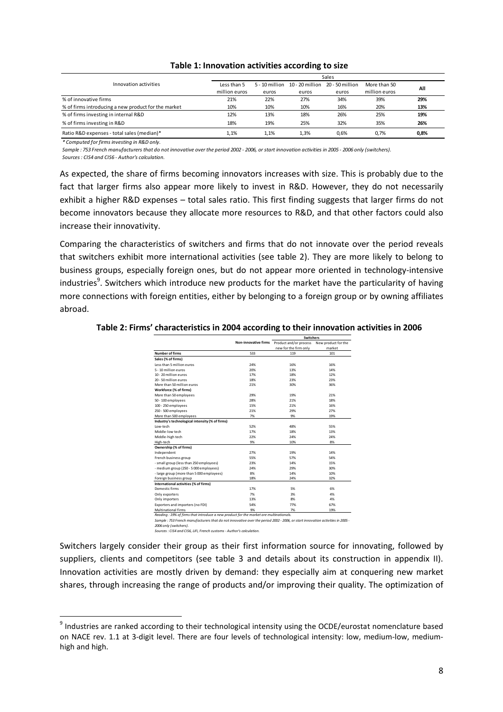|                                                     | Sales         |       |                                    |                 |               |      |  |
|-----------------------------------------------------|---------------|-------|------------------------------------|-----------------|---------------|------|--|
| Innovation activities                               | Less than 5   |       | $5 - 10$ million $10 - 20$ million | 20 - 50 million | More than 50  | All  |  |
|                                                     | million euros | euros | euros                              | euros           | million euros |      |  |
| % of innovative firms                               | 21%           | 22%   | 27%                                | 34%             | 39%           | 29%  |  |
| % of firms introducing a new product for the market | 10%           | 10%   | 10%                                | 16%             | 20%           | 13%  |  |
| % of firms investing in internal R&D                | 12%           | 13%   | 18%                                | 26%             | 25%           | 19%  |  |
| % of firms investing in R&D                         | 18%           | 19%   | 25%                                | 32%             | 35%           | 26%  |  |
| Ratio R&D expenses - total sales (median)*          | 1.1%          | 1.1%  | 1.3%                               | 0.6%            | 0.7%          | 0.8% |  |

#### **Table 1: Innovation activities according to size**

*\* Computed for firms investing in R&D only.*

l

*Sample : 753 French manufacturers that do not innovative over the period 2002 - 2006, or start innovation activities in 2005 - 2006 only (switchers).*

*Sources : CIS4 and CIS6 - Author's calculation.*

As expected, the share of firms becoming innovators increases with size. This is probably due to the fact that larger firms also appear more likely to invest in R&D. However, they do not necessarily exhibit a higher R&D expenses – total sales ratio. This first finding suggests that larger firms do not become innovators because they allocate more resources to R&D, and that other factors could also increase their innovativity.

Comparing the characteristics of switchers and firms that do not innovate over the period reveals that switchers exhibit more international activities (see table 2). They are more likely to belong to business groups, especially foreign ones, but do not appear more oriented in technology-intensive industries<sup>9</sup>. Switchers which introduce new products for the market have the particularity of having more connections with foreign entities, either by belonging to a foreign group or by owning affiliates abroad.

#### **Table 2: Firms' characteristics in 2004 according to their innovation activities in 2006**

|                                                                                        |                      | <b>Switchers</b>       |                     |  |  |
|----------------------------------------------------------------------------------------|----------------------|------------------------|---------------------|--|--|
|                                                                                        | Non-innovative firms | Product and/or process | New product for the |  |  |
|                                                                                        |                      | new for the firm only  | market              |  |  |
| <b>Number of firms</b>                                                                 | 533                  | 119                    | 101                 |  |  |
| Sales (% of firms)                                                                     |                      |                        |                     |  |  |
| Less than 5 million euros                                                              | 24%                  | 16%                    | 16%                 |  |  |
| 5 - 10 million euros                                                                   | 20%                  | 13%                    | 14%                 |  |  |
| 10 - 20 million euros                                                                  | 17%                  | 18%                    | 12%                 |  |  |
| 20 - 50 million euros                                                                  | 18%                  | 23%                    | 23%                 |  |  |
| More than 50 million euros                                                             | 21%                  | 30%                    | 36%                 |  |  |
| Workforce (% of firms)                                                                 |                      |                        |                     |  |  |
| More than 50 employees                                                                 | 29%                  | 19%                    | 21%                 |  |  |
| 50 - 100 employees                                                                     | 28%                  | 21%                    | 18%                 |  |  |
| 100 - 250 employees                                                                    | 15%                  | 21%                    | 16%                 |  |  |
| 250 - 500 employees                                                                    | 21%                  | 29%                    | 27%                 |  |  |
| More than 500 employees                                                                | 7%                   | 9%                     | 19%                 |  |  |
| Industry's technological intensity (% of firms)                                        |                      |                        |                     |  |  |
| low-tech                                                                               | 52%                  | 48%                    | 55%                 |  |  |
| Middle-low tech                                                                        | 17%                  | 18%                    | 13%                 |  |  |
| Middle-high tech                                                                       | 22%                  | 24%                    | 24%                 |  |  |
| High-tech                                                                              | 9%                   | 10%                    | 8%                  |  |  |
| Ownership (% of firms)                                                                 |                      |                        |                     |  |  |
| Independent                                                                            | 27%                  | 19%                    | 14%                 |  |  |
| French business group                                                                  | 55%                  | 57%                    | 54%                 |  |  |
| - small group (less than 250 employees)                                                | 23%                  | 14%                    | 15%                 |  |  |
| - medium group (250 - 5 000 employees)                                                 | 24%                  | 29%                    | 30%                 |  |  |
| - large group (more than 5 000 employees)                                              | 8%                   | 14%                    | 10%                 |  |  |
| Foreign business group                                                                 | 18%                  | 24%                    | 32%                 |  |  |
| International activities (% of firms)                                                  |                      |                        |                     |  |  |
| Domestic firms                                                                         | 17%                  | 5%                     | 6%                  |  |  |
| Only exporters                                                                         | 7%                   | 3%                     | 4%                  |  |  |
| Only importers                                                                         | 13%                  | 8%                     | 4%                  |  |  |
| Exporters and importers (no FDI)                                                       | 54%                  | 77%                    | 67%                 |  |  |
| <b>Multinational firms</b>                                                             | 9%                   | 7%                     | 19%                 |  |  |
| Reading : 19% of firms that introduce a new product for the market are multinationals. |                      |                        |                     |  |  |

*Sample : 753 French manufacturers that do not innovative over the period 2002 - 2006, or start innovation activities in 2005 - 2006 only (switchers).*

*Sources : CIS4 and CIS6, LiFi, French customs - Author's calculation.*

Switchers largely consider their group as their first information source for innovating, followed by suppliers, clients and competitors (see table 3 and details about its construction in appendix II). Innovation activities are mostly driven by demand: they especially aim at conquering new market shares, through increasing the range of products and/or improving their quality. The optimization of

<sup>&</sup>lt;sup>9</sup> Industries are ranked according to their technological intensity using the OCDE/eurostat nomenclature based on NACE rev. 1.1 at 3-digit level. There are four levels of technological intensity: low, medium-low, mediumhigh and high.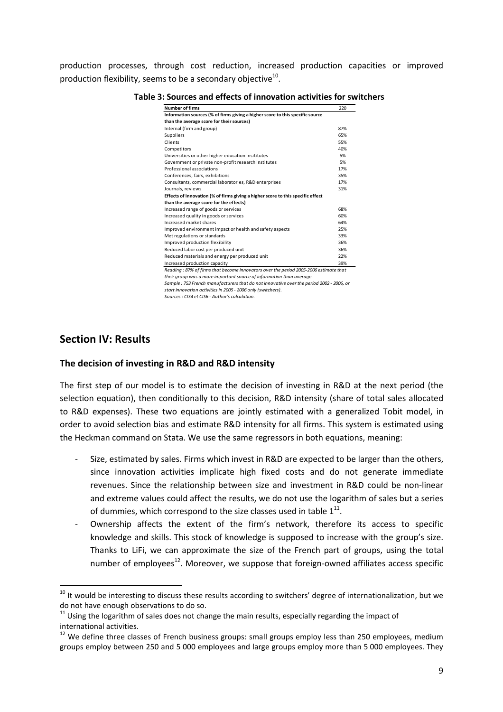production processes, through cost reduction, increased production capacities or improved production flexibility, seems to be a secondary objective $^{10}$ .

| <b>Number of firms</b>                                                          | 220 |
|---------------------------------------------------------------------------------|-----|
| Information sources (% of firms giving a higher score to this specific source   |     |
| than the average score for their sources)                                       |     |
| Internal (firm and group)                                                       | 87% |
| Suppliers                                                                       | 65% |
| Clients                                                                         | 55% |
| Competitors                                                                     | 40% |
| Universities or other higher education insititutes                              | 5%  |
| Government or private non-profit research institutes                            | 5%  |
| Professional associations                                                       | 17% |
| Conferences, fairs, exhibitions                                                 | 35% |
| Consultants, commercial laboratories, R&D enterprises                           | 17% |
| Journals, reviews                                                               | 31% |
| Effects of innovation (% of firms giving a higher score to this specific effect |     |
| than the average score for the effects)                                         |     |
| Increased range of goods or services                                            | 68% |
| Increased quality in goods or services                                          | 60% |
| Increased market shares                                                         | 64% |
| Improved environment impact or health and safety aspects                        | 25% |
| Met regulations or standards                                                    | 33% |
| Improved production flexibility                                                 | 36% |
| Reduced labor cost per produced unit                                            | 36% |
| Reduced materials and energy per produced unit                                  | 22% |
| Increased production capacity                                                   | 39% |

**Table 3: Sources and effects of innovation activities for switchers** 

*Sample : 753 French manufacturers that do not innovative over the period 2002 - 2006, or their group was a more important source of information than average.*

*start innovation activities in 2005 - 2006 only (switchers).*

*Sources : CIS4 et CIS6 - Author's calculation.*

#### **Section IV: Results**

#### **The decision of investing in R&D and R&D intensity**

The first step of our model is to estimate the decision of investing in R&D at the next period (the selection equation), then conditionally to this decision, R&D intensity (share of total sales allocated to R&D expenses). These two equations are jointly estimated with a generalized Tobit model, in order to avoid selection bias and estimate R&D intensity for all firms. This system is estimated using the Heckman command on Stata. We use the same regressors in both equations, meaning:

- Size, estimated by sales. Firms which invest in R&D are expected to be larger than the others, since innovation activities implicate high fixed costs and do not generate immediate revenues. Since the relationship between size and investment in R&D could be non-linear and extreme values could affect the results, we do not use the logarithm of sales but a series of dummies, which correspond to the size classes used in table  $1^{11}$ .
- Ownership affects the extent of the firm's network, therefore its access to specific knowledge and skills. This stock of knowledge is supposed to increase with the group's size. Thanks to LiFi, we can approximate the size of the French part of groups, using the total number of employees $^{12}$ . Moreover, we suppose that foreign-owned affiliates access specific

 $10$  It would be interesting to discuss these results according to switchers' degree of internationalization, but we do not have enough observations to do so.

 $11$  Using the logarithm of sales does not change the main results, especially regarding the impact of international activities.

 $12$  We define three classes of French business groups: small groups employ less than 250 employees, medium groups employ between 250 and 5 000 employees and large groups employ more than 5 000 employees. They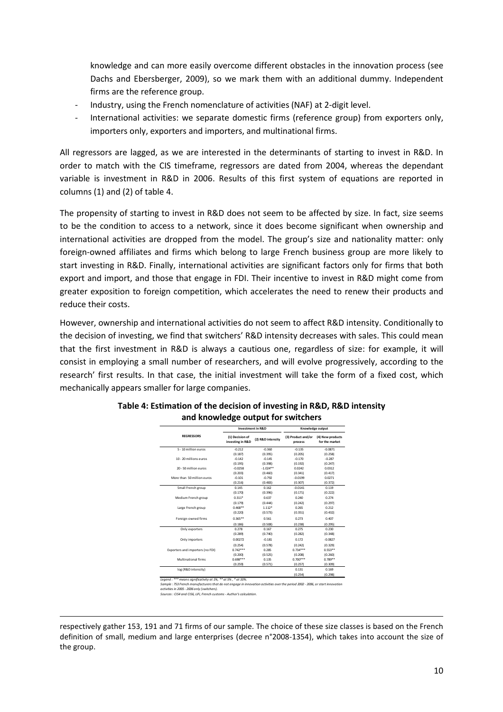knowledge and can more easily overcome different obstacles in the innovation process (see Dachs and Ebersberger, 2009), so we mark them with an additional dummy. Independent firms are the reference group.

- Industry, using the French nomenclature of activities (NAF) at 2-digit level.
- International activities: we separate domestic firms (reference group) from exporters only, importers only, exporters and importers, and multinational firms.

All regressors are lagged, as we are interested in the determinants of starting to invest in R&D. In order to match with the CIS timeframe, regressors are dated from 2004, whereas the dependant variable is investment in R&D in 2006. Results of this first system of equations are reported in columns (1) and (2) of table 4.

The propensity of starting to invest in R&D does not seem to be affected by size. In fact, size seems to be the condition to access to a network, since it does become significant when ownership and international activities are dropped from the model. The group's size and nationality matter: only foreign-owned affiliates and firms which belong to large French business group are more likely to start investing in R&D. Finally, international activities are significant factors only for firms that both export and import, and those that engage in FDI. Their incentive to invest in R&D might come from greater exposition to foreign competition, which accelerates the need to renew their products and reduce their costs.

However, ownership and international activities do not seem to affect R&D intensity. Conditionally to the decision of investing, we find that switchers' R&D intensity decreases with sales. This could mean that the first investment in R&D is always a cautious one, regardless of size: for example, it will consist in employing a small number of researchers, and will evolve progressively, according to the research' first results. In that case, the initial investment will take the form of a fixed cost, which mechanically appears smaller for large companies.

|                                  | <b>Investment in R&amp;D</b>        |                   | Knowledge output              |                                    |
|----------------------------------|-------------------------------------|-------------------|-------------------------------|------------------------------------|
| <b>REGRESSORS</b>                | (1) Decision of<br>investing in R&D | (2) R&D intensity | (3) Product and/or<br>process | (4) New products<br>for the market |
| 5 - 10 million euros             | $-0.212$                            | $-0.360$          | $-0.135$                      | $-0.0871$                          |
|                                  | (0.187)                             | (0.395)           | (0.205)                       | (0.258)                            |
| 10 - 20 millions euros           | $-0.142$                            | $-0.145$          | $-0.170$                      | $-0.287$                           |
|                                  | (0.195)                             | (0.398)           | (0.192)                       | (0.247)                            |
| 20 - 50 million euros            | $-0.0258$                           | $-1.024**$        | 0.0242                        | 0.0312                             |
|                                  | (0.203)                             | (0.460)           | (0.341)                       | (0.417)                            |
| More than 50 million euros       | $-0.101$                            | $-0.792$          | $-0.0199$                     | 0.0271                             |
|                                  | (0.216)                             | (0.483)           | (0.307)                       | (0.372)                            |
| Small French group               | 0.145                               | 0.162             | $-0.0141$                     | 0.119                              |
|                                  | (0.170)                             | (0.396)           | (0.171)                       | (0.222)                            |
| Medium French group              | $0.311*$                            | 0.637             | 0.240                         | 0.274                              |
|                                  | (0.179)                             | (0.444)           | (0.242)                       | (0.297)                            |
| Large French group               | $0.468***$                          | $1.112*$          | 0.265                         | 0.212                              |
|                                  | (0.220)                             | (0.573)           | (0.351)                       | (0.432)                            |
| Foreign-owned firms              | $0.365**$                           | 0.561             | 0.273                         | 0.407                              |
|                                  | (0.186)                             | (0.508)           | (0.238)                       | (0.295)                            |
| Only exporters                   | 0.278                               | 0.167             | 0.275                         | 0.230                              |
|                                  | (0.289)                             | (0.740)           | (0.282)                       | (0.348)                            |
| Only importers                   | 0.00272                             | $-0.181$          | 0.172                         | $-0.0827$                          |
|                                  | (0.254)                             | (0.578)           | (0.242)                       | (0.329)                            |
| Exporters and importers (no FDI) | $0.742***$                          | 0.285             | $0.734***$                    | $0.553**$                          |
|                                  | (0.200)                             | (0.525)           | (0.208)                       | (0.260)                            |
| Multinational firms              | $0.698***$                          | 0.135             | $0.700***$                    | $0.789**$                          |
|                                  | (0.259)                             | (0.571)           | (0.257)                       | (0.309)                            |
| log (R&D intensity)              |                                     |                   | 0.131                         | 0.169                              |
|                                  |                                     |                   | (0.254)                       | (0.298)                            |

#### **Table 4: Estimation of the decision of investing in R&D, R&D intensity and knowledge output for switchers**

Legend : \*\*\* means significativity at 1%, \*\* at 5% , \* at 10%.<br>Sample : 753 French manufacturers that do not engage in innovation activities over the period 2002 - 2006, or start innovation<br>activities in 2005 - 2006 only (

*Sources : CIS4 and CIS6, LiFi, French customs - Author's calculation.*

<u>.</u> respectively gather 153, 191 and 71 firms of our sample. The choice of these size classes is based on the French definition of small, medium and large enterprises (decree n°2008-1354), which takes into account the size of the group.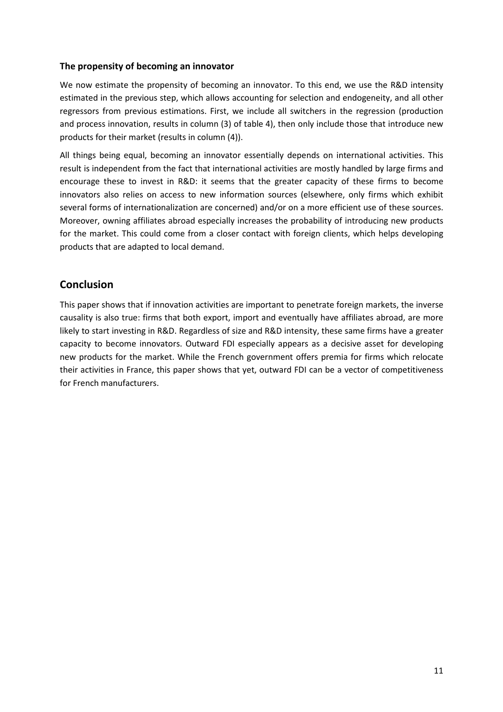#### **The propensity of becoming an innovator**

We now estimate the propensity of becoming an innovator. To this end, we use the R&D intensity estimated in the previous step, which allows accounting for selection and endogeneity, and all other regressors from previous estimations. First, we include all switchers in the regression (production and process innovation, results in column (3) of table 4), then only include those that introduce new products for their market (results in column (4)).

All things being equal, becoming an innovator essentially depends on international activities. This result is independent from the fact that international activities are mostly handled by large firms and encourage these to invest in R&D: it seems that the greater capacity of these firms to become innovators also relies on access to new information sources (elsewhere, only firms which exhibit several forms of internationalization are concerned) and/or on a more efficient use of these sources. Moreover, owning affiliates abroad especially increases the probability of introducing new products for the market. This could come from a closer contact with foreign clients, which helps developing products that are adapted to local demand.

### **Conclusion**

This paper shows that if innovation activities are important to penetrate foreign markets, the inverse causality is also true: firms that both export, import and eventually have affiliates abroad, are more likely to start investing in R&D. Regardless of size and R&D intensity, these same firms have a greater capacity to become innovators. Outward FDI especially appears as a decisive asset for developing new products for the market. While the French government offers premia for firms which relocate their activities in France, this paper shows that yet, outward FDI can be a vector of competitiveness for French manufacturers.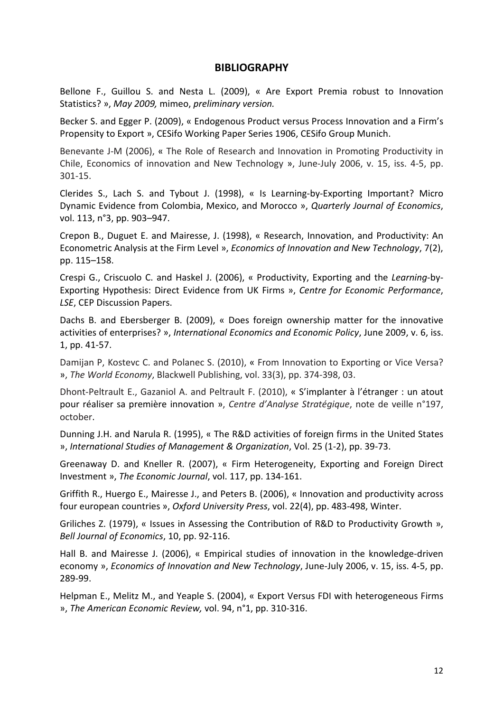#### **BIBLIOGRAPHY**

Bellone F., Guillou S. and Nesta L. (2009), « Are Export Premia robust to Innovation Statistics? », *May 2009,* mimeo, *preliminary version.*

Becker S. and Egger P. (2009), « Endogenous Product versus Process Innovation and a Firm's Propensity to Export », CESifo Working Paper Series 1906, CESifo Group Munich.

Benevante J-M (2006), « The Role of Research and Innovation in Promoting Productivity in Chile, Economics of innovation and New Technology », June-July 2006, v. 15, iss. 4-5, pp. 301-15.

Clerides S., Lach S. and Tybout J. (1998), « Is Learning-by-Exporting Important? Micro Dynamic Evidence from Colombia, Mexico, and Morocco », *Quarterly Journal of Economics*, vol. 113, n°3, pp. 903–947.

Crepon B., Duguet E. and Mairesse, J. (1998), « Research, Innovation, and Productivity: An Econometric Analysis at the Firm Level », *Economics of Innovation and New Technology*, 7(2), pp. 115–158.

Crespi G., Criscuolo C. and Haskel J. (2006), « Productivity, Exporting and the *Learning*-by-Exporting Hypothesis: Direct Evidence from UK Firms », *Centre for Economic Performance*, *LSE*, CEP Discussion Papers.

Dachs B. and Ebersberger B. (2009), « Does foreign ownership matter for the innovative activities of enterprises? », *International Economics and Economic Policy*, June 2009, v. 6, iss. 1, pp. 41-57.

Damijan P, Kostevc C. and Polanec S. (2010), « From Innovation to Exporting or Vice Versa? », *The World Economy*, Blackwell Publishing, vol. 33(3), pp. 374-398, 03.

Dhont-Peltrault E., Gazaniol A. and Peltrault F. (2010), « S'implanter à l'étranger : un atout pour réaliser sa première innovation », *Centre d'Analyse Stratégique*, note de veille n°197, october.

Dunning J.H. and Narula R. (1995), « The R&D activities of foreign firms in the United States », *International Studies of Management & Organization*, Vol. 25 (1-2), pp. 39-73.

Greenaway D. and Kneller R. (2007), « Firm Heterogeneity, Exporting and Foreign Direct Investment », *The Economic Journal*, vol. 117, pp. 134-161.

Griffith R., Huergo E., Mairesse J., and Peters B. (2006), « Innovation and productivity across four european countries », *Oxford University Press*, vol. 22(4), pp. 483-498, Winter.

Griliches Z. (1979), « Issues in Assessing the Contribution of R&D to Productivity Growth », *Bell Journal of Economics*, 10, pp. 92-116.

Hall B. and Mairesse J. (2006), « Empirical studies of innovation in the knowledge-driven economy », *Economics of Innovation and New Technology*, June-July 2006, v. 15, iss. 4-5, pp. 289-99.

Helpman E., Melitz M., and Yeaple S. (2004), « Export Versus FDI with heterogeneous Firms », *The American Economic Review,* vol. 94, n°1, pp. 310-316.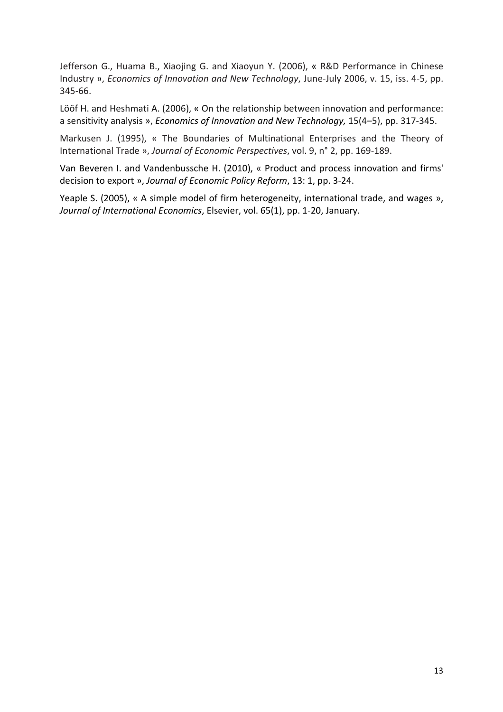Jefferson G., Huama B., Xiaojing G. and Xiaoyun Y. (2006), « R&D Performance in Chinese Industry », *Economics of Innovation and New Technology*, June-July 2006, v. 15, iss. 4-5, pp. 345-66.

Lööf H. and Heshmati A. (2006), « On the relationship between innovation and performance: a sensitivity analysis », *Economics of Innovation and New Technology,* 15(4–5), pp. 317-345.

Markusen J. (1995), « The Boundaries of Multinational Enterprises and the Theory of International Trade », *Journal of Economic Perspectives*, vol. 9, n° 2, pp. 169-189.

Van Beveren I. and Vandenbussche H. (2010), « Product and process innovation and firms' decision to export », *Journal of Economic Policy Reform*, 13: 1, pp. 3-24.

Yeaple S. (2005), « A simple model of firm heterogeneity, international trade, and wages », *Journal of International Economics*, Elsevier, vol. 65(1), pp. 1-20, January.